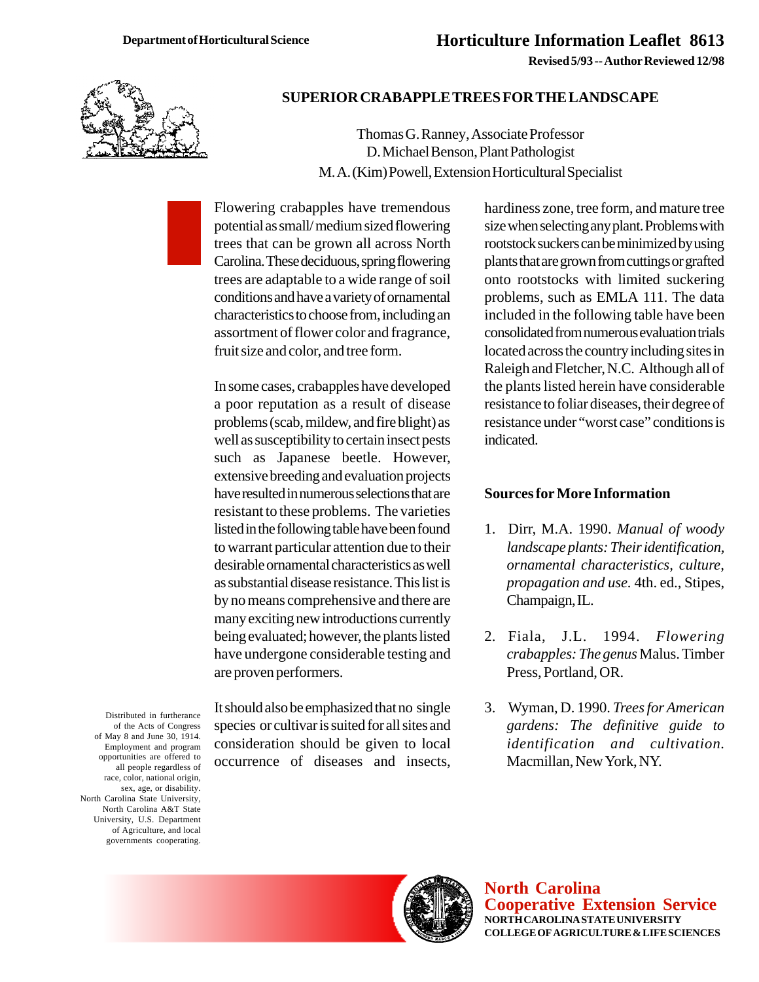**Revised 5/93 -- Author Reviewed 12/98**



## **SUPERIOR CRABAPPLE TREES FOR THE LANDSCAPE**

Thomas G. Ranney, Associate Professor D. Michael Benson, Plant Pathologist M. A. (Kim) Powell, Extension Horticultural Specialist

Flowering crabapples have tremendous potential as small/ medium sized flowering trees that can be grown all across North Carolina. These deciduous, spring flowering trees are adaptable to a wide range of soil conditions and have a variety of ornamental characteristics to choose from, including an assortment of flower color and fragrance, fruit size and color, and tree form.

In some cases, crabapples have developed a poor reputation as a result of disease problems (scab, mildew, and fire blight) as well as susceptibility to certain insect pests such as Japanese beetle. However, extensive breeding and evaluation projects have resulted in numerous selections that are resistant to these problems. The varieties listed in the following table have been found to warrant particular attention due to their desirable ornamental characteristics as well as substantial disease resistance. This list is by no means comprehensive and there are many exciting new introductions currently being evaluated; however, the plants listed have undergone considerable testing and are proven performers.

It should also be emphasized that no single species or cultivar is suited for all sites and consideration should be given to local occurrence of diseases and insects, hardiness zone, tree form, and mature tree size when selecting any plant. Problems with rootstock suckers can be minimized by using plants that are grown from cuttings or grafted onto rootstocks with limited suckering problems, such as EMLA 111. The data included in the following table have been consolidated from numerous evaluation trials located across the country including sites in Raleigh and Fletcher, N.C. Although all of the plants listed herein have considerable resistance to foliar diseases, their degree of resistance under "worst case" conditions is indicated.

## **Sources for More Information**

- 1. Dirr, M.A. 1990. *Manual of woody landscape plants: Their identification, ornamental characteristics, culture, propagation and use.* 4th. ed., Stipes, Champaign, IL.
- 2. Fiala, J.L. 1994. *Flowering crabapples: The genus* Malus. Timber Press, Portland, OR.
- 3. Wyman, D. 1990. *Trees for American gardens: The definitive guide to identification and cultivation.* Macmillan, New York, NY.

of the Acts of Congress of May 8 and June 30, 1914. Employment and program opportunities are offered to all people regardless of race, color, national origin, sex, age, or disability. North Carolina State University, North Carolina A&T State University, U.S. Department of Agriculture, and local governments cooperating.

Distributed in furtherance



**North Carolina Cooperative Extension Service NORTH CAROLINA STATE UNIVERSITY COLLEGE OF AGRICULTURE & LIFE SCIENCES**